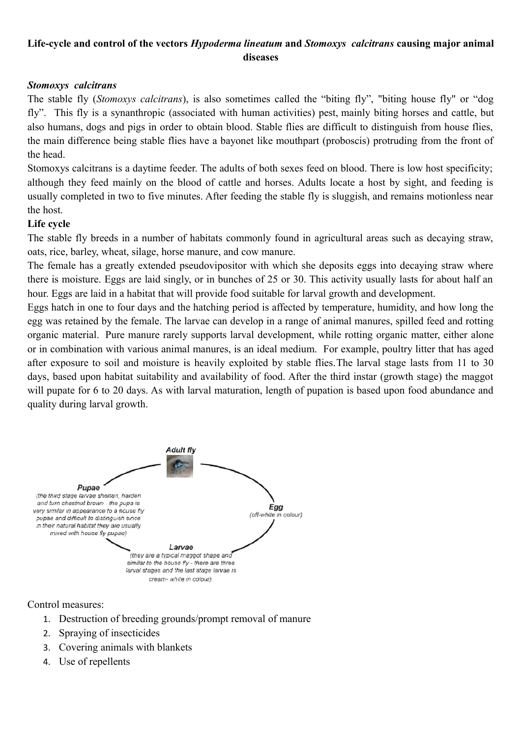# **Life-cycle and control of the vectors** *Hypoderma lineatum* **and** *Stomoxys calcitrans* **causing major animal diseases**

### *Stomoxys calcitrans*

The stable fly (*Stomoxys calcitrans*), is also sometimes called the "biting fly", "biting house fly" or "dog fly". This fly is a synanthropic (associated with human activities) pest, mainly biting horses and cattle, but also humans, dogs and pigs in order to obtain blood. Stable flies are difficult to distinguish from house flies, the main difference being stable flies have a bayonet like mouthpart (proboscis) protruding from the front of the head.

Stomoxys calcitrans is a daytime feeder. The adults of both sexes feed on blood. There is low host specificity; although they feed mainly on the blood of cattle and horses. Adults locate a host by sight, and feeding is usually completed in two to five minutes. After feeding the stable fly is sluggish, and remains motionless near the host.

#### **Life cycle**

The stable fly breeds in a number of habitats commonly found in agricultural areas such as decaying straw, oats, rice, barley, wheat, silage, horse manure, and cow manure.

The female has a greatly extended pseudovipositor with which she deposits eggs into decaying straw where there is moisture. Eggs are laid singly, or in bunches of 25 or 30. This activity usually lasts for about half an hour. Eggs are laid in a habitat that will provide food suitable for larval growth and development.

Eggs hatch in one to four days and the hatching period is affected by temperature, humidity, and how long the egg was retained by the female. The larvae can develop in a range of animal manures, spilled feed and rotting organic material. Pure manure rarely supports larval development, while rotting organic matter, either alone or in combination with various animal manures, is an ideal medium. For example, poultry litter that has aged after exposure to soil and moisture is heavily exploited by stable flies.The larval stage lasts from 11 to 30 days, based upon habitat suitability and availability of food. After the third instar (growth stage) the maggot will pupate for 6 to 20 days. As with larval maturation, length of pupation is based upon food abundance and quality during larval growth.



Control measures:

- 1. Destruction of breeding grounds/prompt removal of manure
- 2. Spraying of insecticides
- 3. Covering animals with blankets
- 4. Use of repellents